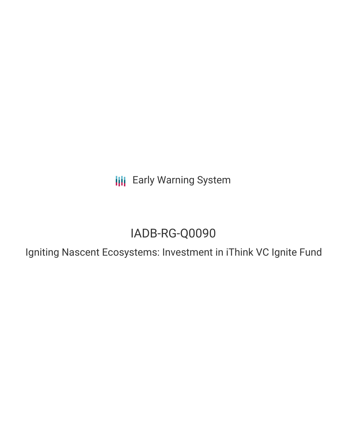**III** Early Warning System

# IADB-RG-Q0090

Igniting Nascent Ecosystems: Investment in iThink VC Ignite Fund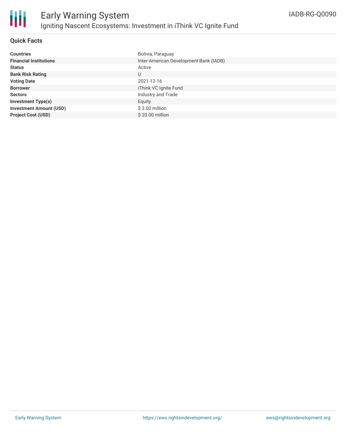

## **Quick Facts**

| <b>Countries</b>               | Bolivia, Paraguay                      |
|--------------------------------|----------------------------------------|
| <b>Financial Institutions</b>  | Inter-American Development Bank (IADB) |
| <b>Status</b>                  | Active                                 |
| <b>Bank Risk Rating</b>        | U                                      |
| <b>Voting Date</b>             | 2021-12-16                             |
| <b>Borrower</b>                | iThink VC Ignite Fund                  |
| <b>Sectors</b>                 | Industry and Trade                     |
| <b>Investment Type(s)</b>      | Equity                                 |
| <b>Investment Amount (USD)</b> | $$3.00$ million                        |
| <b>Project Cost (USD)</b>      | \$20,00 million                        |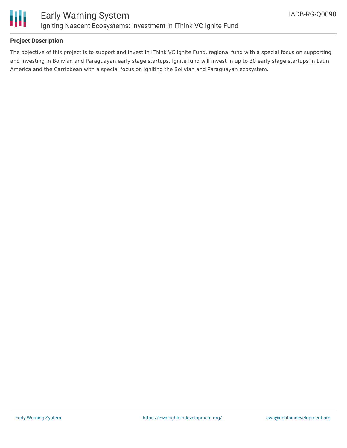

## **Project Description**

The objective of this project is to support and invest in iThink VC Ignite Fund, regional fund with a special focus on supporting and investing in Bolivian and Paraguayan early stage startups. Ignite fund will invest in up to 30 early stage startups in Latin America and the Carribbean with a special focus on igniting the Bolivian and Paraguayan ecosystem.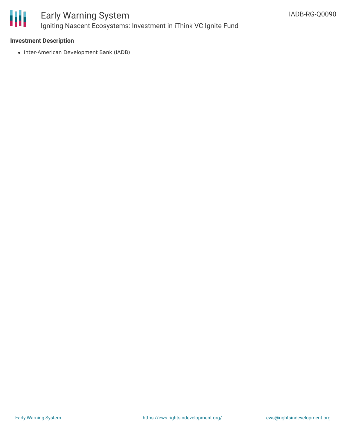

# Early Warning System Igniting Nascent Ecosystems: Investment in iThink VC Ignite Fund

#### **Investment Description**

• Inter-American Development Bank (IADB)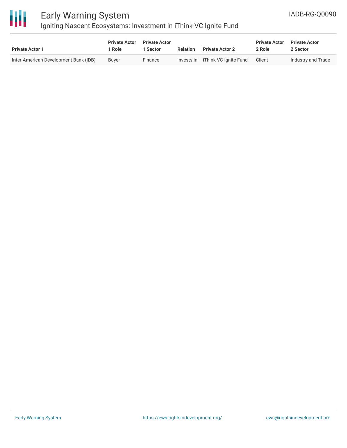

# Early Warning System Igniting Nascent Ecosystems: Investment in iThink VC Ignite Fund

| <b>Private Actor 1</b>                | <b>Private Actor</b><br>Role | <b>Private Actor</b><br><b>Sector</b> | <b>Relation</b> | <b>Private Actor 2</b>           | <b>Private Actor</b><br>2 Role | <b>Private Actor</b><br>2 Sector |
|---------------------------------------|------------------------------|---------------------------------------|-----------------|----------------------------------|--------------------------------|----------------------------------|
| Inter-American Development Bank (IDB) | Buver                        | Finance                               |                 | invests in iThink VC Ignite Fund | Client                         | Industry and Trade               |